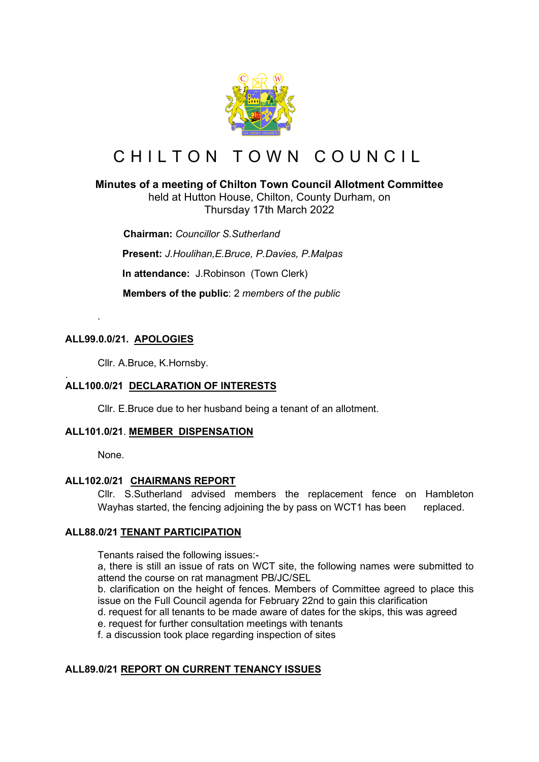

# CHILTON TOWN COUNCIL

## **Minutes of a meeting of Chilton Town Council Allotment Committee**

held at Hutton House, Chilton, County Durham, on Thursday 17th March 2022

 **Chairman:** *Councillor S.Sutherland*

**Present:** *J.Houlihan,E.Bruce, P.Davies, P.Malpas*

**In attendance:** J.Robinson (Town Clerk)

 **Members of the public**: 2 *members of the public*

## **ALL99.0.0/21. APOLOGIES**

*.*

Cllr. A.Bruce, K.Hornsby.

#### . **ALL100.0/21 DECLARATION OF INTERESTS**

Cllr. E.Bruce due to her husband being a tenant of an allotment.

### **ALL101.0/21**. **MEMBER DISPENSATION**

None.

## **ALL102.0/21 CHAIRMANS REPORT**

Cllr. S.Sutherland advised members the replacement fence on Hambleton Wayhas started, the fencing adjoining the by pass on WCT1 has been replaced.

## **ALL88.0/21 TENANT PARTICIPATION**

Tenants raised the following issues:-

a, there is still an issue of rats on WCT site, the following names were submitted to attend the course on rat managment PB/JC/SEL

b. clarification on the height of fences. Members of Committee agreed to place this issue on the Full Council agenda for February 22nd to gain this clarification

d. request for all tenants to be made aware of dates for the skips, this was agreed

e. request for further consultation meetings with tenants

f. a discussion took place regarding inspection of sites

## **ALL89.0/21 REPORT ON CURRENT TENANCY ISSUES**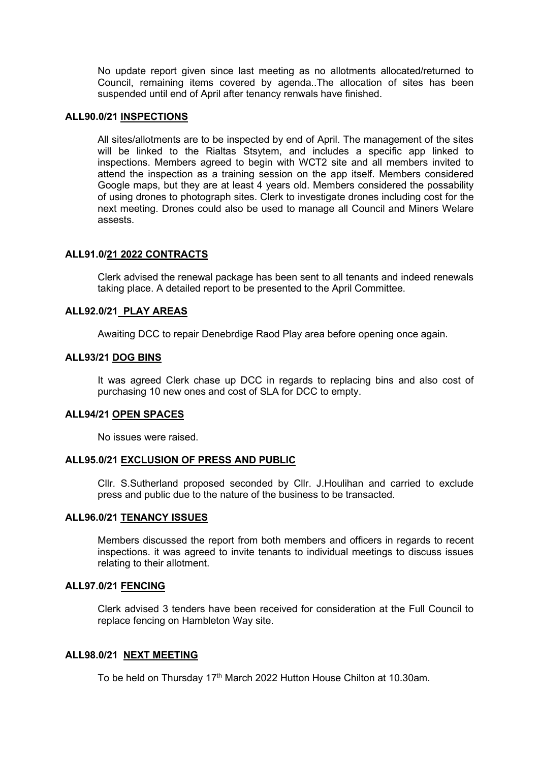No update report given since last meeting as no allotments allocated/returned to Council, remaining items covered by agenda..The allocation of sites has been suspended until end of April after tenancy renwals have finished.

#### **ALL90.0/21 INSPECTIONS**

All sites/allotments are to be inspected by end of April. The management of the sites will be linked to the Rialtas Stsytem, and includes a specific app linked to inspections. Members agreed to begin with WCT2 site and all members invited to attend the inspection as a training session on the app itself. Members considered Google maps, but they are at least 4 years old. Members considered the possability of using drones to photograph sites. Clerk to investigate drones including cost for the next meeting. Drones could also be used to manage all Council and Miners Welare assests.

#### **ALL91.0/21 2022 CONTRACTS**

Clerk advised the renewal package has been sent to all tenants and indeed renewals taking place. A detailed report to be presented to the April Committee.

#### **ALL92.0/21 PLAY AREAS**

Awaiting DCC to repair Denebrdige Raod Play area before opening once again.

#### **ALL93/21 DOG BINS**

It was agreed Clerk chase up DCC in regards to replacing bins and also cost of purchasing 10 new ones and cost of SLA for DCC to empty.

#### **ALL94/21 OPEN SPACES**

No issues were raised.

#### **ALL95.0/21 EXCLUSION OF PRESS AND PUBLIC**

Cllr. S.Sutherland proposed seconded by Cllr. J.Houlihan and carried to exclude press and public due to the nature of the business to be transacted.

#### **ALL96.0/21 TENANCY ISSUES**

Members discussed the report from both members and officers in regards to recent inspections. it was agreed to invite tenants to individual meetings to discuss issues relating to their allotment.

#### **ALL97.0/21 FENCING**

Clerk advised 3 tenders have been received for consideration at the Full Council to replace fencing on Hambleton Way site.

#### **ALL98.0/21 NEXT MEETING**

To be held on Thursday 17<sup>th</sup> March 2022 Hutton House Chilton at 10.30am.